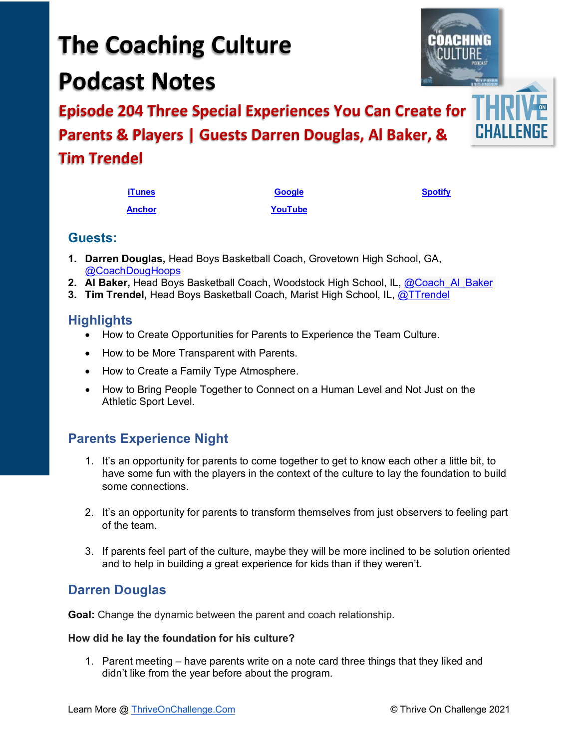#### Learn More @ [ThriveOnChallenge.Com](https://thriveonchallenge.com/) © Thrive On Challenge 2021

# **The Coaching Culture Podcast Notes**

**Episode 204 Three Special Experiences You Can Create for Parents & Players | Guests Darren Douglas, Al Baker, & Tim Trendel**

| <b>iTunes</b> | <b>Google</b> | <b>Spotify</b> |
|---------------|---------------|----------------|
| <b>Anchor</b> | YouTube       |                |

## **Guests:**

- **1. Darren Douglas,** Head Boys Basketball Coach, Grovetown High School, GA, [@CoachDougHoops](https://twitter.com/CoachDougHoops)
- **2. Al Baker,** Head Boys Basketball Coach, Woodstock High School, IL, [@Coach\\_Al\\_Baker](https://twitter.com/coach_al_baker)
- **3. Tim Trendel,** Head Boys Basketball Coach, Marist High School, IL, [@TTrendel](https://twitter.com/ttrendel)

## **Highlights**

- How to Create Opportunities for Parents to Experience the Team Culture.
- How to be More Transparent with Parents.
- How to Create a Family Type Atmosphere.
- How to Bring People Together to Connect on a Human Level and Not Just on the Athletic Sport Level.

## **Parents Experience Night**

- 1. It's an opportunity for parents to come together to get to know each other a little bit, to have some fun with the players in the context of the culture to lay the foundation to build some connections.
- 2. It's an opportunity for parents to transform themselves from just observers to feeling part of the team.
- 3. If parents feel part of the culture, maybe they will be more inclined to be solution oriented and to help in building a great experience for kids than if they weren't.

## **Darren Douglas**

**Goal:** Change the dynamic between the parent and coach relationship.

#### **How did he lay the foundation for his culture?**

1. Parent meeting – have parents write on a note card three things that they liked and didn't like from the year before about the program.

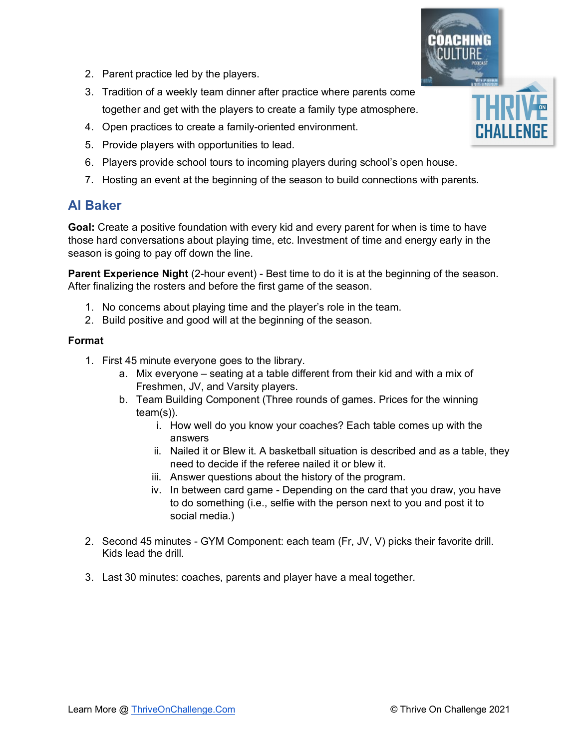- 2. Parent practice led by the players.
- 3. Tradition of a weekly team dinner after practice where parents come together and get with the players to create a family type atmosphere.
- 4. Open practices to create a family-oriented environment.
- 5. Provide players with opportunities to lead.
- 6. Players provide school tours to incoming players during school's open house.
- 7. Hosting an event at the beginning of the season to build connections with parents.

## **Al Baker**

**Goal:** Create a positive foundation with every kid and every parent for when is time to have those hard conversations about playing time, etc. Investment of time and energy early in the season is going to pay off down the line.

**Parent Experience Night** (2-hour event) - Best time to do it is at the beginning of the season. After finalizing the rosters and before the first game of the season.

- 1. No concerns about playing time and the player's role in the team.
- 2. Build positive and good will at the beginning of the season.

#### **Format**

- 1. First 45 minute everyone goes to the library.
	- a. Mix everyone seating at a table different from their kid and with a mix of Freshmen, JV, and Varsity players.
	- b. Team Building Component (Three rounds of games. Prices for the winning team(s)).
		- i. How well do you know your coaches? Each table comes up with the answers
		- ii. Nailed it or Blew it. A basketball situation is described and as a table, they need to decide if the referee nailed it or blew it.
		- iii. Answer questions about the history of the program.
		- iv. In between card game Depending on the card that you draw, you have to do something (i.e., selfie with the person next to you and post it to social media.)
- 2. Second 45 minutes GYM Component: each team (Fr, JV, V) picks their favorite drill. Kids lead the drill.
- 3. Last 30 minutes: coaches, parents and player have a meal together.

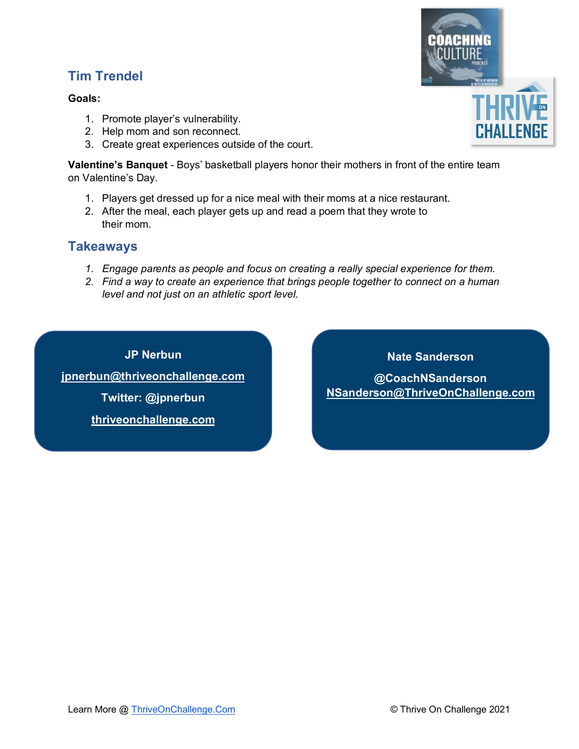## **Tim Trendel**

#### **Goals:**

- 1. Promote player's vulnerability.
- 2. Help mom and son reconnect.
- 3. Create great experiences outside of the court.

**Valentine's Banquet** - Boys' basketball players honor their mothers in front of the entire team on Valentine's Day.

- 1. Players get dressed up for a nice meal with their moms at a nice restaurant.
- 2. After the meal, each player gets up and read a poem that they wrote to their mom.

## **Takeaways**

- *1. Engage parents as people and focus on creating a really special experience for them.*
- *2. Find a way to create an experience that brings people together to connect on a human level and not just on an athletic sport level.*

**JP Nerbun jpnerbun@thriveonchallenge.com Twitter: @jpnerbun** 

**[thriveonchallenge.com](http://www.thriveonchallenge.com/)**

**@CoachNSanderson NSanderson@ThriveOnChallenge.com**

**Nate Sanderson** 

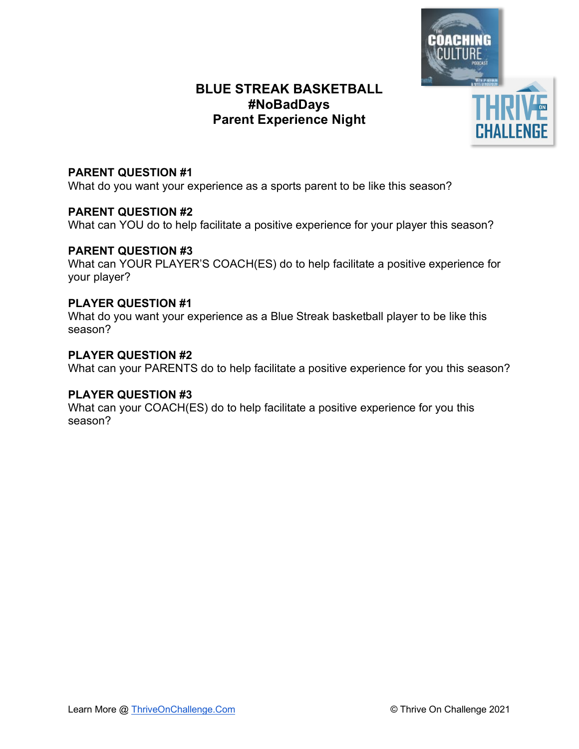

#### **PARENT QUESTION #1**

What do you want your experience as a sports parent to be like this season?

## **PARENT QUESTION #2**

What can YOU do to help facilitate a positive experience for your player this season?

## **PARENT QUESTION #3**

What can YOUR PLAYER'S COACH(ES) do to help facilitate a positive experience for your player?

## **PLAYER QUESTION #1**

What do you want your experience as a Blue Streak basketball player to be like this season?

## **PLAYER QUESTION #2**

What can your PARENTS do to help facilitate a positive experience for you this season?

#### **PLAYER QUESTION #3**

What can your COACH(ES) do to help facilitate a positive experience for you this season?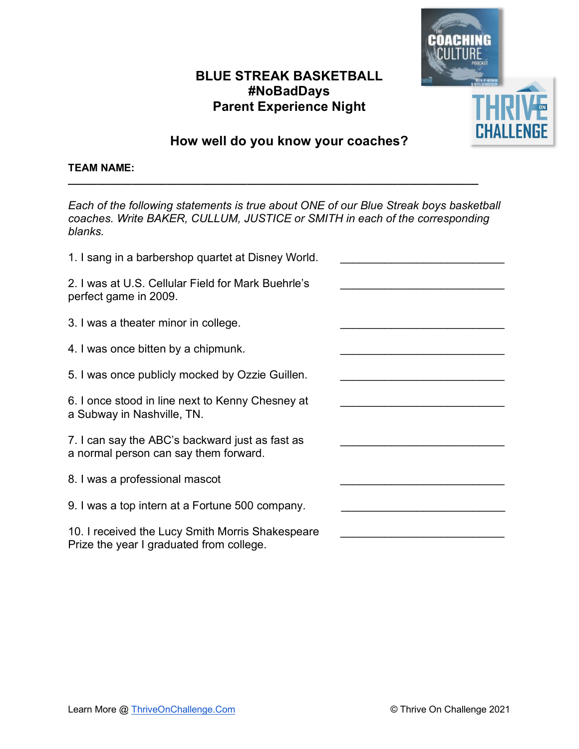

## **How well do you know your coaches?**

**\_\_\_\_\_\_\_\_\_\_\_\_\_\_\_\_\_\_\_\_\_\_\_\_\_\_\_\_\_\_\_\_\_\_\_\_\_\_\_\_\_\_\_\_\_\_\_\_\_\_\_\_\_\_\_\_\_\_\_\_\_\_\_\_\_\_\_\_\_\_\_**

#### **TEAM NAME:**

| Each of the following statements is true about ONE of our Blue Streak boys basketball<br>coaches. Write BAKER, CULLUM, JUSTICE or SMITH in each of the corresponding<br>blanks. |  |
|---------------------------------------------------------------------------------------------------------------------------------------------------------------------------------|--|
| 1. I sang in a barbershop quartet at Disney World.                                                                                                                              |  |
| 2. I was at U.S. Cellular Field for Mark Buehrle's<br>perfect game in 2009.                                                                                                     |  |
| 3. I was a theater minor in college.                                                                                                                                            |  |
| 4. I was once bitten by a chipmunk.                                                                                                                                             |  |
| 5. I was once publicly mocked by Ozzie Guillen.                                                                                                                                 |  |
| 6. I once stood in line next to Kenny Chesney at<br>a Subway in Nashville, TN.                                                                                                  |  |
| 7. I can say the ABC's backward just as fast as<br>a normal person can say them forward.                                                                                        |  |
| 8. I was a professional mascot                                                                                                                                                  |  |
| 9. I was a top intern at a Fortune 500 company.                                                                                                                                 |  |
| 10. I received the Lucy Smith Morris Shakespeare<br>Prize the year I graduated from college.                                                                                    |  |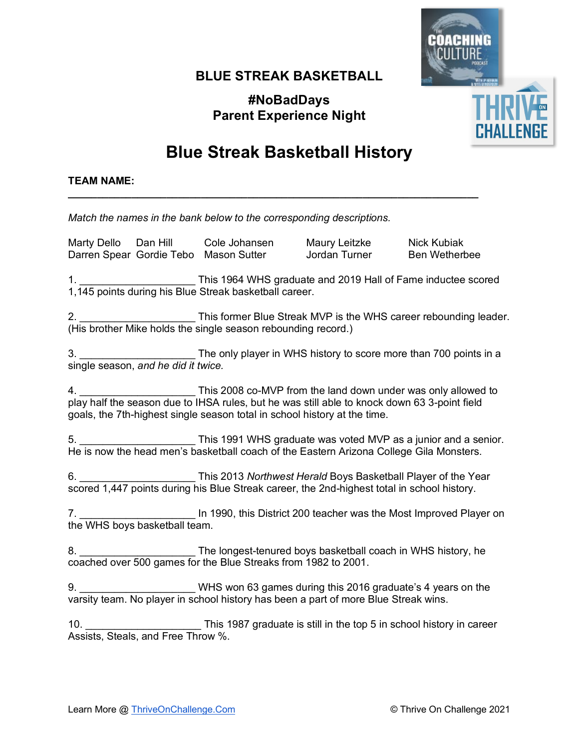## **BLUE STREAK BASKETBALL**

**#NoBadDays Parent Experience Night**



## **Blue Streak Basketball History**

**\_\_\_\_\_\_\_\_\_\_\_\_\_\_\_\_\_\_\_\_\_\_\_\_\_\_\_\_\_\_\_\_\_\_\_\_\_\_\_\_\_\_\_\_\_\_\_\_\_\_\_\_\_\_\_\_\_\_\_\_\_\_\_\_\_\_\_\_\_\_\_**

#### **TEAM NAME:**

*Match the names in the bank below to the corresponding descriptions.*

Marty Dello Dan Hill Cole Johansen Maury Leitzke Nick Kubiak Darren Spear Gordie Tebo Mason Sutter Jordan Turner Ben Wetherbee

1. \_\_\_\_\_\_\_\_\_\_\_\_\_\_\_\_\_\_\_\_ This 1964 WHS graduate and 2019 Hall of Fame inductee scored 1,145 points during his Blue Streak basketball career.

This former Blue Streak MVP is the WHS career rebounding leader. (His brother Mike holds the single season rebounding record.)

3. \_\_\_\_\_\_\_\_\_\_\_\_\_\_\_\_\_\_\_\_ The only player in WHS history to score more than 700 points in a single season, *and he did it twice.*

4. \_\_\_\_\_\_\_\_\_\_\_\_\_\_\_\_\_\_\_\_ This 2008 co-MVP from the land down under was only allowed to play half the season due to IHSA rules, but he was still able to knock down 63 3-point field goals, the 7th-highest single season total in school history at the time.

5. **Example 20 This 1991 WHS graduate was voted MVP as a junior and a senior.** He is now the head men's basketball coach of the Eastern Arizona College Gila Monsters.

6. \_\_\_\_\_\_\_\_\_\_\_\_\_\_\_\_\_\_\_\_ This 2013 *Northwest Herald* Boys Basketball Player of the Year scored 1,447 points during his Blue Streak career, the 2nd-highest total in school history.

7. \_\_\_\_\_\_\_\_\_\_\_\_\_\_\_\_\_\_\_\_ In 1990, this District 200 teacher was the Most Improved Player on the WHS boys basketball team.

8. **Example 3** The longest-tenured boys basketball coach in WHS history, he coached over 500 games for the Blue Streaks from 1982 to 2001.

9. \_\_\_\_\_\_\_\_\_\_\_\_\_\_\_\_\_\_\_\_ WHS won 63 games during this 2016 graduate's 4 years on the varsity team. No player in school history has been a part of more Blue Streak wins.

10. \_\_\_\_\_\_\_\_\_\_\_\_\_\_\_\_\_\_\_\_ This 1987 graduate is still in the top 5 in school history in career Assists, Steals, and Free Throw %.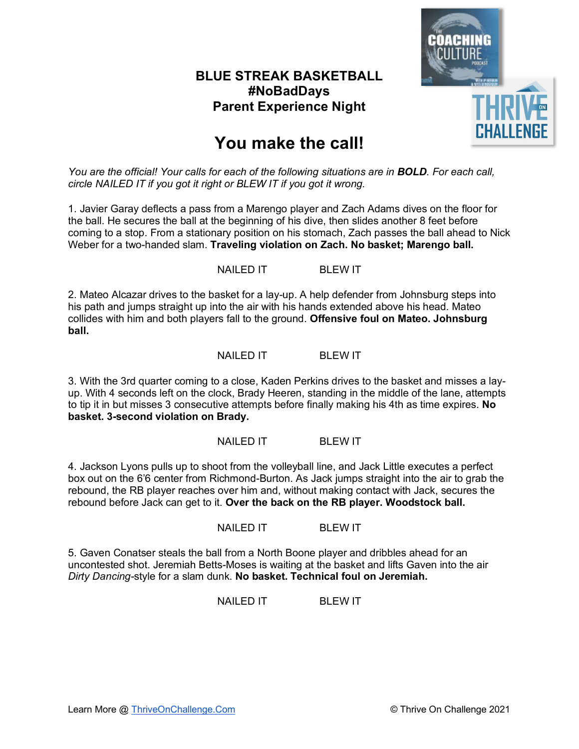

## **You make the call!**

*You are the official! Your calls for each of the following situations are in BOLD. For each call, circle NAILED IT if you got it right or BLEW IT if you got it wrong.*

1. Javier Garay deflects a pass from a Marengo player and Zach Adams dives on the floor for the ball. He secures the ball at the beginning of his dive, then slides another 8 feet before coming to a stop. From a stationary position on his stomach, Zach passes the ball ahead to Nick Weber for a two-handed slam. **Traveling violation on Zach. No basket; Marengo ball.**

NAILED IT BLEW IT

2. Mateo Alcazar drives to the basket for a lay-up. A help defender from Johnsburg steps into his path and jumps straight up into the air with his hands extended above his head. Mateo collides with him and both players fall to the ground. **Offensive foul on Mateo. Johnsburg ball.**

#### NAILED IT BLEW IT

3. With the 3rd quarter coming to a close, Kaden Perkins drives to the basket and misses a layup. With 4 seconds left on the clock, Brady Heeren, standing in the middle of the lane, attempts to tip it in but misses 3 consecutive attempts before finally making his 4th as time expires. **No basket. 3-second violation on Brady.**

#### NAILED IT BLEW IT

4. Jackson Lyons pulls up to shoot from the volleyball line, and Jack Little executes a perfect box out on the 6'6 center from Richmond-Burton. As Jack jumps straight into the air to grab the rebound, the RB player reaches over him and, without making contact with Jack, secures the rebound before Jack can get to it. **Over the back on the RB player. Woodstock ball.**

NAILED IT BLEW IT

5. Gaven Conatser steals the ball from a North Boone player and dribbles ahead for an uncontested shot. Jeremiah Betts-Moses is waiting at the basket and lifts Gaven into the air *Dirty Dancing-*style for a slam dunk. **No basket. Technical foul on Jeremiah.**

NAILED IT BLEW IT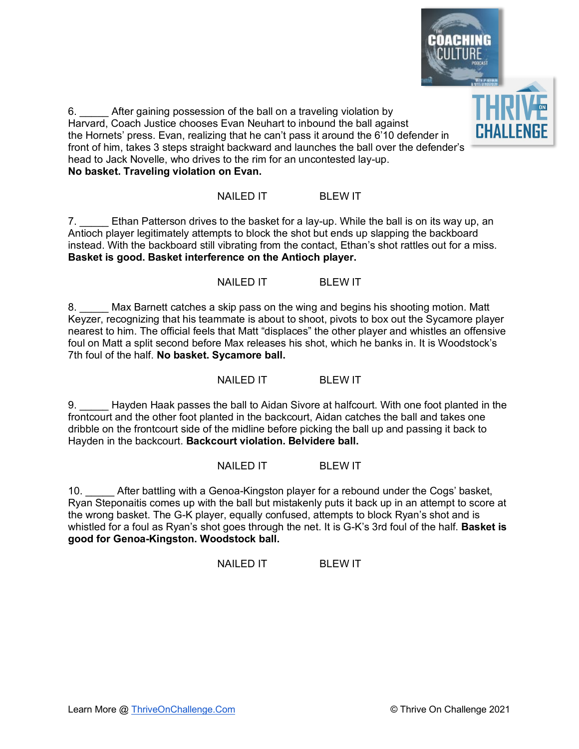

6. \_\_\_\_\_ After gaining possession of the ball on a traveling violation by Harvard, Coach Justice chooses Evan Neuhart to inbound the ball against the Hornets' press. Evan, realizing that he can't pass it around the 6'10 defender in front of him, takes 3 steps straight backward and launches the ball over the defender's head to Jack Novelle, who drives to the rim for an uncontested lay-up. **No basket. Traveling violation on Evan.**

#### NAILED IT BLEW IT

7. \_\_\_\_\_ Ethan Patterson drives to the basket for a lay-up. While the ball is on its way up, an Antioch player legitimately attempts to block the shot but ends up slapping the backboard instead. With the backboard still vibrating from the contact, Ethan's shot rattles out for a miss. **Basket is good. Basket interference on the Antioch player.**

NAILED IT BLEW IT

8. Max Barnett catches a skip pass on the wing and begins his shooting motion. Matt Keyzer, recognizing that his teammate is about to shoot, pivots to box out the Sycamore player nearest to him. The official feels that Matt "displaces" the other player and whistles an offensive foul on Matt a split second before Max releases his shot, which he banks in. It is Woodstock's 7th foul of the half. **No basket. Sycamore ball.**

NAILED IT BLEW IT

9. Hayden Haak passes the ball to Aidan Sivore at halfcourt. With one foot planted in the frontcourt and the other foot planted in the backcourt, Aidan catches the ball and takes one dribble on the frontcourt side of the midline before picking the ball up and passing it back to Hayden in the backcourt. **Backcourt violation. Belvidere ball.**

NAILED IT BLEW IT

10. After battling with a Genoa-Kingston player for a rebound under the Cogs' basket, Ryan Steponaitis comes up with the ball but mistakenly puts it back up in an attempt to score at the wrong basket. The G-K player, equally confused, attempts to block Ryan's shot and is whistled for a foul as Ryan's shot goes through the net. It is G-K's 3rd foul of the half. **Basket is good for Genoa-Kingston. Woodstock ball.**

NAILED IT BLEW IT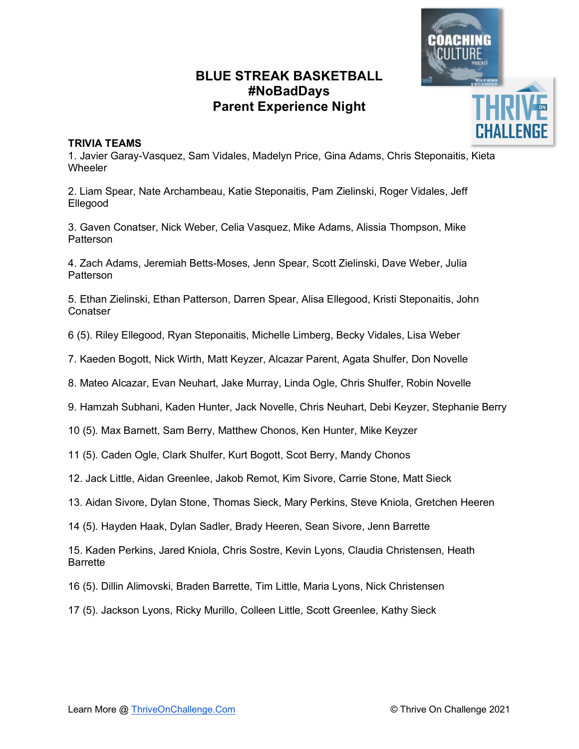

#### **TRIVIA TEAMS**

1. Javier Garay-Vasquez, Sam Vidales, Madelyn Price, Gina Adams, Chris Steponaitis, Kieta **Wheeler** 

2. Liam Spear, Nate Archambeau, Katie Steponaitis, Pam Zielinski, Roger Vidales, Jeff Ellegood

3. Gaven Conatser, Nick Weber, Celia Vasquez, Mike Adams, Alissia Thompson, Mike **Patterson** 

4. Zach Adams, Jeremiah Betts-Moses, Jenn Spear, Scott Zielinski, Dave Weber, Julia **Patterson** 

5. Ethan Zielinski, Ethan Patterson, Darren Spear, Alisa Ellegood, Kristi Steponaitis, John **Conatser** 

6 (5). Riley Ellegood, Ryan Steponaitis, Michelle Limberg, Becky Vidales, Lisa Weber

7. Kaeden Bogott, Nick Wirth, Matt Keyzer, Alcazar Parent, Agata Shulfer, Don Novelle

8. Mateo Alcazar, Evan Neuhart, Jake Murray, Linda Ogle, Chris Shulfer, Robin Novelle

9. Hamzah Subhani, Kaden Hunter, Jack Novelle, Chris Neuhart, Debi Keyzer, Stephanie Berry

10 (5). Max Barnett, Sam Berry, Matthew Chonos, Ken Hunter, Mike Keyzer

11 (5). Caden Ogle, Clark Shulfer, Kurt Bogott, Scot Berry, Mandy Chonos

12. Jack Little, Aidan Greenlee, Jakob Remot, Kim Sivore, Carrie Stone, Matt Sieck

13. Aidan Sivore, Dylan Stone, Thomas Sieck, Mary Perkins, Steve Kniola, Gretchen Heeren

14 (5). Hayden Haak, Dylan Sadler, Brady Heeren, Sean Sivore, Jenn Barrette

15. Kaden Perkins, Jared Kniola, Chris Sostre, Kevin Lyons, Claudia Christensen, Heath Barrette

16 (5). Dillin Alimovski, Braden Barrette, Tim Little, Maria Lyons, Nick Christensen

17 (5). Jackson Lyons, Ricky Murillo, Colleen Little, Scott Greenlee, Kathy Sieck